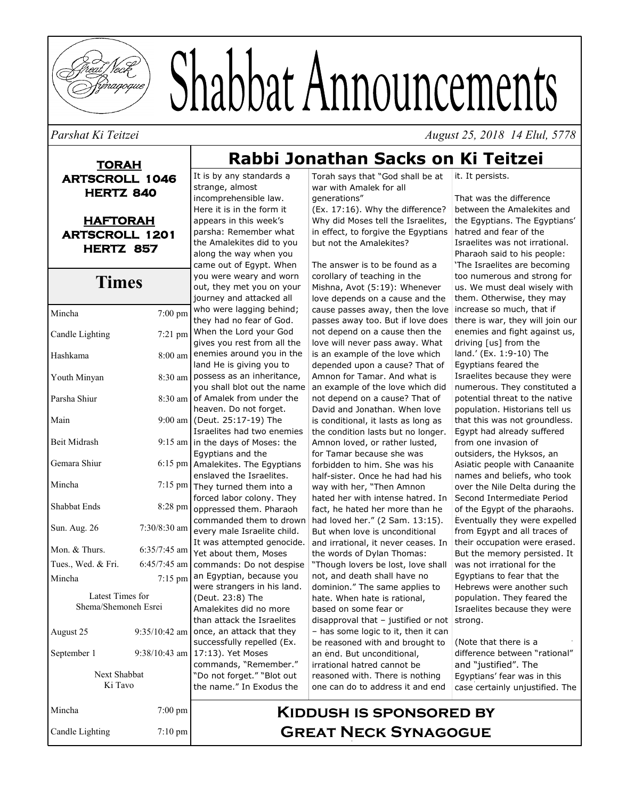

# Shabbat Announcements

#### *Parshat Ki Teitzei August 25, 2018 14 Elul, 5778*

**TORAH ARTSCROLL 1046 HERTZ 840** 

**HAFTORAH ARTSCROLL 1201 HERTZ 857** 

#### **Times**

| Mincha                  | $7:00$ pm         | W<br>tł                        |
|-------------------------|-------------------|--------------------------------|
| Candle Lighting         | $7:21$ pm         | N                              |
| Hashkama                | 8:00 am           | gi<br>e                        |
|                         |                   | la                             |
| Youth Minyan            | 8:30 am           | p                              |
| Parsha Shiur            | 8:30 am           | y١<br>O                        |
| Main                    | $9:00$ am         | h<br>$\overline{\mathfrak{a}}$ |
| <b>Beit Midrash</b>     | $9:15$ am         | Is<br>in                       |
|                         |                   | E,                             |
| Gemara Shiur            | 6:15 pm           | A                              |
| Mincha                  | $7:15 \text{ pm}$ | e<br>т                         |
| Shabbat Ends            | 8:28 pm           | fc<br>$\circ$                  |
|                         |                   | C                              |
| Sun. Aug. 26            | 7:30/8:30 am      | e'                             |
| Mon. & Thurs.           | $6:35/7:45$ am    | It<br>Ÿ,                       |
| Tues., Wed. & Fri.      | $6:45/7:45$ am    | C(                             |
| Mincha                  | 7:15 pm           | a<br>Ŵ                         |
| Latest Times for        |                   | $\overline{I}$                 |
| Shema/Shemoneh Esrei    |                   | A                              |
|                         |                   | tł                             |
| August 25               | 9:35/10:42 am     | $\overline{O}$<br>SΙ           |
| September 1             | $9:38/10:43$ am   | $\mathbf{1}$                   |
|                         |                   | C<br>'nŗ                       |
| Next Shabbat<br>Ki Tavo |                   | tł                             |
|                         |                   |                                |
| Mincha                  | 7:00 pm           |                                |
| Candle Lighting         | $7:10$ pm         |                                |

## **Rabbi Jonathan Sacks on Ki Teitzei**

It is by any standards a strange, almost incomprehensible law. Here it is in the form it appears in this week's parsha: Remember what the Amalekites did to you along the way when you came out of Egypt. When you were weary and worn out, they met you on your journey and attacked all ho were lagging behind; hey had no fear of God. When the Lord your God ives you rest from all the nemies around you in the land He is giving you to ossess as an inheritance, ou shall blot out the name f Amalek from under the eaven. Do not forget. (Deut. 25:17-19) The sraelites had two enemies the days of Moses: the gyptians and the malekites. The Egyptians nslaved the Israelites. hey turned them into a orced labor colony. They oppressed them. Pharaoh ommanded them to drown very male Israelite child. was attempted genocide. et about them, Moses commands: Do not despise n Egyptian, because you ere strangers in his land. (Deut. 23:8) The malekites did no more an attack the Israelites nce, an attack that they uccessfully repelled (Ex. 17:13). Yet Moses commands, "Remember." "Do not forget." "Blot out the name." In Exodus the

Torah says that "God shall be at war with Amalek for all generations"

(Ex. 17:16). Why the difference? Why did Moses tell the Israelites, in effect, to forgive the Egyptians but not the Amalekites?

The answer is to be found as a corollary of teaching in the Mishna, Avot (5:19): Whenever love depends on a cause and the cause passes away, then the love passes away too. But if love does not depend on a cause then the love will never pass away. What is an example of the love which depended upon a cause? That of Amnon for Tamar. And what is an example of the love which did not depend on a cause? That of David and Jonathan. When love is conditional, it lasts as long as the condition lasts but no longer. Amnon loved, or rather lusted, for Tamar because she was forbidden to him. She was his half-sister. Once he had had his way with her, "Then Amnon hated her with intense hatred. In fact, he hated her more than he had loved her." (2 Sam. 13:15). But when love is unconditional and irrational, it never ceases. In the words of Dylan Thomas: "Though lovers be lost, love shall not, and death shall have no dominion." The same applies to hate. When hate is rational, based on some fear or disapproval that – justified or not – has some logic to it, then it can be reasoned with and brought to an end. But unconditional, irrational hatred cannot be reasoned with. There is nothing one can do to address it and end

it. It persists.

That was the difference between the Amalekites and the Egyptians. The Egyptians' hatred and fear of the Israelites was not irrational. Pharaoh said to his people: 'The Israelites are becoming too numerous and strong for us. We must deal wisely with them. Otherwise, they may increase so much, that if there is war, they will join our enemies and fight against us, driving [us] from the land.' (Ex. 1:9-10) The Egyptians feared the Israelites because they were numerous. They constituted a potential threat to the native population. Historians tell us that this was not groundless. Egypt had already suffered from one invasion of outsiders, the Hyksos, an Asiatic people with Canaanite names and beliefs, who took over the Nile Delta during the Second Intermediate Period of the Egypt of the pharaohs. Eventually they were expelled from Egypt and all traces of their occupation were erased. But the memory persisted. It was not irrational for the Egyptians to fear that the Hebrews were another such population. They feared the Israelites because they were strong.

(Note that there is a difference between "rational" and "justified". The Egyptians' fear was in this case certainly unjustified. The

#### **Kiddush is sponsored by Great Neck Synagogue**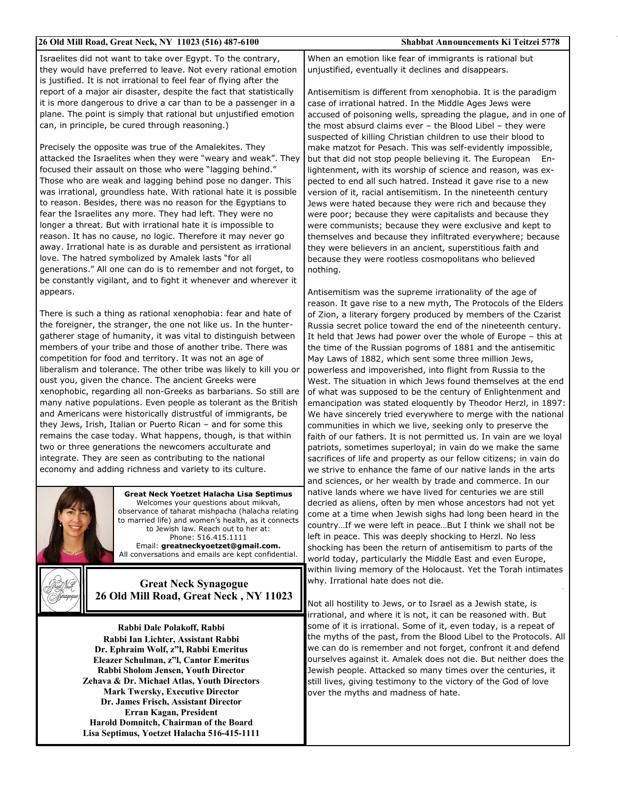| 26 Old Mill Road, Great Neck, NY 11023 (516) 487-6100                                                                                                                                                                                                                                                                                                                                                                                                                                                                                                                                                                                                                                                                                                                                                                                                                                                                                                                                                | Shabbat Announcements Ki Teitzei 5778                                                                                                                                                                                                                                                                                                                                                                                                                                                                                                                                                                                                                                                                                                                                                                                                                                                                                                                                                                                                                                                                                                                                                            |
|------------------------------------------------------------------------------------------------------------------------------------------------------------------------------------------------------------------------------------------------------------------------------------------------------------------------------------------------------------------------------------------------------------------------------------------------------------------------------------------------------------------------------------------------------------------------------------------------------------------------------------------------------------------------------------------------------------------------------------------------------------------------------------------------------------------------------------------------------------------------------------------------------------------------------------------------------------------------------------------------------|--------------------------------------------------------------------------------------------------------------------------------------------------------------------------------------------------------------------------------------------------------------------------------------------------------------------------------------------------------------------------------------------------------------------------------------------------------------------------------------------------------------------------------------------------------------------------------------------------------------------------------------------------------------------------------------------------------------------------------------------------------------------------------------------------------------------------------------------------------------------------------------------------------------------------------------------------------------------------------------------------------------------------------------------------------------------------------------------------------------------------------------------------------------------------------------------------|
| Israelites did not want to take over Egypt. To the contrary,<br>they would have preferred to leave. Not every rational emotion<br>is justified. It is not irrational to feel fear of flying after the                                                                                                                                                                                                                                                                                                                                                                                                                                                                                                                                                                                                                                                                                                                                                                                                | When an emotion like fear of immigrants is rational but<br>unjustified, eventually it declines and disappears.                                                                                                                                                                                                                                                                                                                                                                                                                                                                                                                                                                                                                                                                                                                                                                                                                                                                                                                                                                                                                                                                                   |
| report of a major air disaster, despite the fact that statistically<br>it is more dangerous to drive a car than to be a passenger in a<br>plane. The point is simply that rational but unjustified emotion<br>can, in principle, be cured through reasoning.)                                                                                                                                                                                                                                                                                                                                                                                                                                                                                                                                                                                                                                                                                                                                        | Antisemitism is different from xenophobia. It is the paradigm<br>case of irrational hatred. In the Middle Ages Jews were<br>accused of poisoning wells, spreading the plague, and in one of<br>the most absurd claims ever $-$ the Blood Libel $-$ they were<br>suspected of killing Christian children to use their blood to                                                                                                                                                                                                                                                                                                                                                                                                                                                                                                                                                                                                                                                                                                                                                                                                                                                                    |
| Precisely the opposite was true of the Amalekites. They<br>attacked the Israelites when they were "weary and weak". They<br>focused their assault on those who were "lagging behind."<br>Those who are weak and lagging behind pose no danger. This<br>was irrational, groundless hate. With rational hate it is possible<br>to reason. Besides, there was no reason for the Egyptians to<br>fear the Israelites any more. They had left. They were no<br>longer a threat. But with irrational hate it is impossible to<br>reason. It has no cause, no logic. Therefore it may never go<br>away. Irrational hate is as durable and persistent as irrational<br>love. The hatred symbolized by Amalek lasts "for all<br>generations." All one can do is to remember and not forget, to<br>be constantly vigilant, and to fight it whenever and wherever it                                                                                                                                            | make matzot for Pesach. This was self-evidently impossible,<br>but that did not stop people believing it. The European<br>- En-<br>lightenment, with its worship of science and reason, was ex-<br>pected to end all such hatred. Instead it gave rise to a new<br>version of it, racial antisemitism. In the nineteenth century<br>Jews were hated because they were rich and because they<br>were poor; because they were capitalists and because they<br>were communists; because they were exclusive and kept to<br>themselves and because they infiltrated everywhere; because<br>they were believers in an ancient, superstitious faith and<br>because they were rootless cosmopolitans who believed<br>nothing.                                                                                                                                                                                                                                                                                                                                                                                                                                                                           |
| appears.<br>There is such a thing as rational xenophobia: fear and hate of<br>the foreigner, the stranger, the one not like us. In the hunter-<br>gatherer stage of humanity, it was vital to distinguish between<br>members of your tribe and those of another tribe. There was<br>competition for food and territory. It was not an age of<br>liberalism and tolerance. The other tribe was likely to kill you or<br>oust you, given the chance. The ancient Greeks were<br>xenophobic, regarding all non-Greeks as barbarians. So still are<br>many native populations. Even people as tolerant as the British<br>and Americans were historically distrustful of immigrants, be<br>they Jews, Irish, Italian or Puerto Rican - and for some this<br>remains the case today. What happens, though, is that within<br>two or three generations the newcomers acculturate and<br>integrate. They are seen as contributing to the national<br>economy and adding richness and variety to its culture. | Antisemitism was the supreme irrationality of the age of<br>reason. It gave rise to a new myth, The Protocols of the Elders<br>of Zion, a literary forgery produced by members of the Czarist<br>Russia secret police toward the end of the nineteenth century.<br>It held that Jews had power over the whole of Europe - this at<br>the time of the Russian pogroms of 1881 and the antisemitic<br>May Laws of 1882, which sent some three million Jews,<br>powerless and impoverished, into flight from Russia to the<br>West. The situation in which Jews found themselves at the end<br>of what was supposed to be the century of Enlightenment and<br>emancipation was stated eloquently by Theodor Herzl, in 1897:<br>We have sincerely tried everywhere to merge with the national<br>communities in which we live, seeking only to preserve the<br>faith of our fathers. It is not permitted us. In vain are we loyal<br>patriots, sometimes superloyal; in vain do we make the same<br>sacrifices of life and property as our fellow citizens; in vain do<br>we strive to enhance the fame of our native lands in the arts<br>and sciences, or her wealth by trade and commerce. In our |
| Great Neck Yoetzet Halacha Lisa Septimus<br>Welcomes your questions about mikvah,<br>observance of taharat mishpacha (halacha relating<br>to married life) and women's health, as it connects<br>to Jewish law. Reach out to her at:<br>Phone: 516.415.1111<br>Email: greatneckyoetzet@gmail.com.<br>All conversations and emails are kept confidential.                                                                                                                                                                                                                                                                                                                                                                                                                                                                                                                                                                                                                                             | native lands where we have lived for centuries we are still<br>decried as aliens, often by men whose ancestors had not yet<br>come at a time when Jewish sighs had long been heard in the<br>countryIf we were left in peaceBut I think we shall not be<br>left in peace. This was deeply shocking to Herzl. No less<br>shocking has been the return of antisemitism to parts of the<br>world today, particularly the Middle East and even Europe,                                                                                                                                                                                                                                                                                                                                                                                                                                                                                                                                                                                                                                                                                                                                               |
| <b>Great Neck Synagogue</b><br>26 Old Mill Road, Great Neck, NY 11023                                                                                                                                                                                                                                                                                                                                                                                                                                                                                                                                                                                                                                                                                                                                                                                                                                                                                                                                | within living memory of the Holocaust. Yet the Torah intimates<br>why. Irrational hate does not die.<br>Not all hostility to Jews, or to Israel as a Jewish state, is                                                                                                                                                                                                                                                                                                                                                                                                                                                                                                                                                                                                                                                                                                                                                                                                                                                                                                                                                                                                                            |
| Rabbi Dale Polakoff, Rabbi                                                                                                                                                                                                                                                                                                                                                                                                                                                                                                                                                                                                                                                                                                                                                                                                                                                                                                                                                                           | irrational, and where it is not, it can be reasoned with. But<br>some of it is irrational. Some of it, even today, is a repeat of                                                                                                                                                                                                                                                                                                                                                                                                                                                                                                                                                                                                                                                                                                                                                                                                                                                                                                                                                                                                                                                                |

**Rabbi Ian Lichter, Assistant Rabbi Dr. Ephraim Wolf, z"l, Rabbi Emeritus Eleazer Schulman, z"l, Cantor Emeritus Rabbi Sholom Jensen, Youth Director Zehava & Dr. Michael Atlas, Youth Directors Mark Twersky, Executive Director Dr. James Frisch, Assistant Director Erran Kagan, President Harold Domnitch, Chairman of the Board Lisa Septimus, Yoetzet Halacha 516-415-1111**

the myths of the past, from the Blood Libel to the Protocols. All we can do is remember and not forget, confront it and defend ourselves against it. Amalek does not die. But neither does the Jewish people. Attacked so many times over the centuries, it still lives, giving testimony to the victory of the God of love over the myths and madness of hate.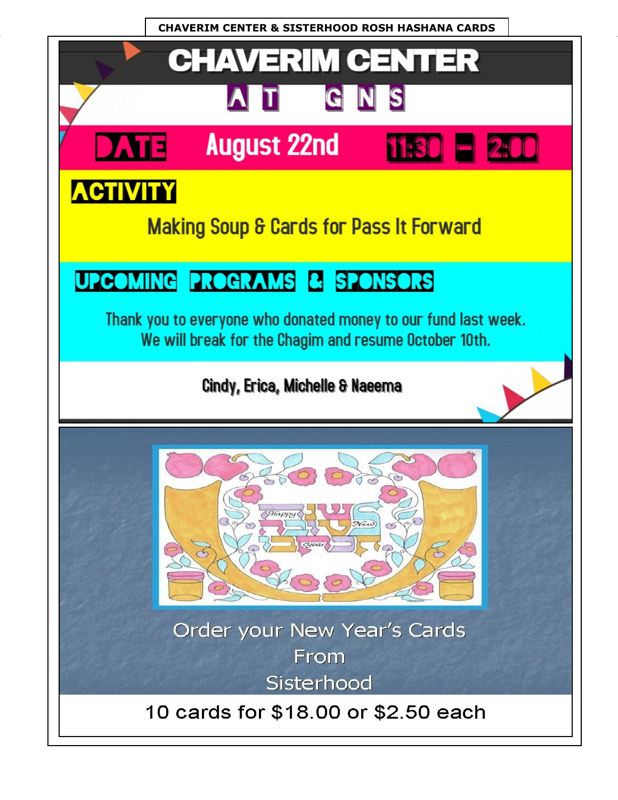**CHAVERIM CENTER & SISTERHOOD ROSH HASHANA CARDS** 

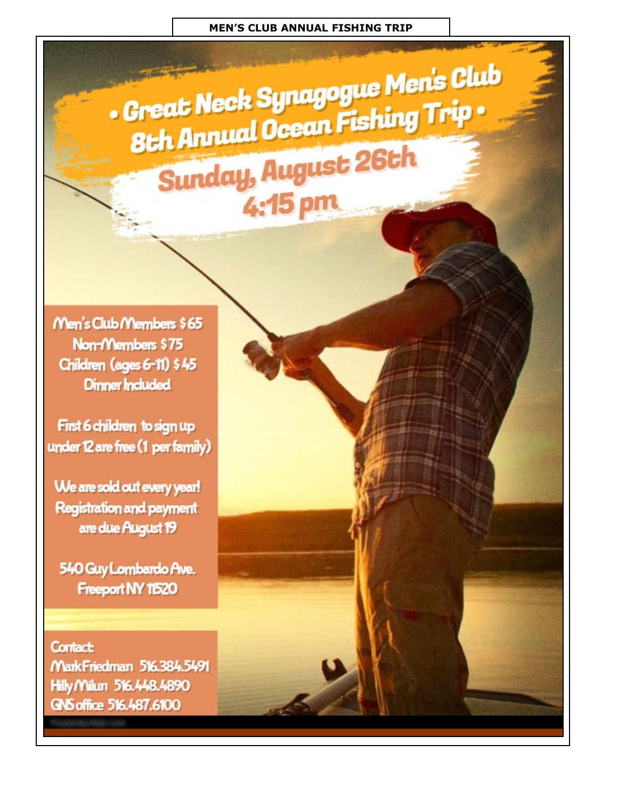. Great Neck Synagogue Men's Club 8th Annual Ocean Fishing Trip. **Sunday, August 26th** 4:15 pm

Men's Club Members \$65 Non-Members \$75 Children (ages 6-11) \$45 **Dinner Included** 

First 6 children to sign up under 12 are free (1 per family)

We are sold out every year! **Registration and payment** are due August 19

540 Guy Lombardo Ave. Freeport NY 11520

**Contact:** MarkFriedman 516.384.5491 Hilly Milun 516.448.4890 GNS office 516.487.6100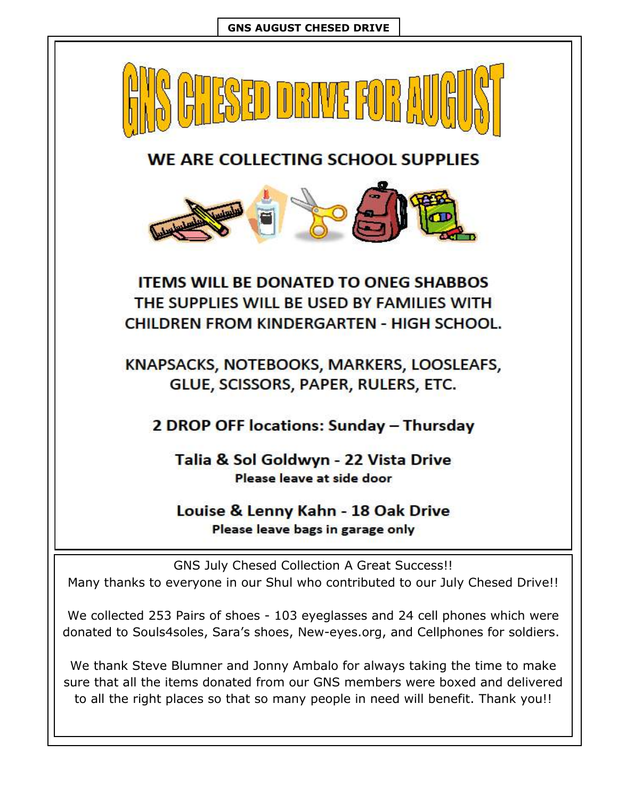

We collected 253 Pairs of shoes - 103 eyeglasses and 24 cell phones which were donated to Souls4soles, Sara's shoes, New-eyes.org, and Cellphones for soldiers.

We thank Steve Blumner and Jonny Ambalo for always taking the time to make sure that all the items donated from our GNS members were boxed and delivered to all the right places so that so many people in need will benefit. Thank you!!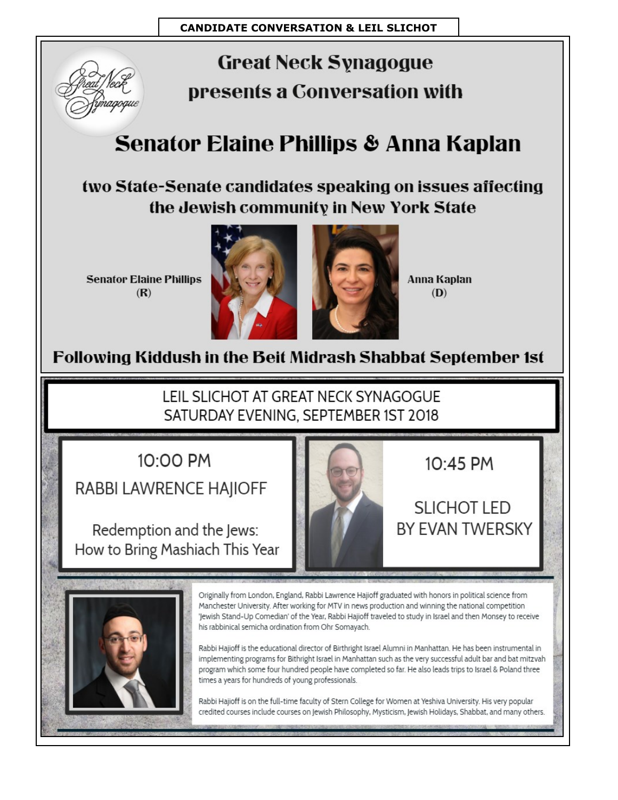

## **Great Neck Synagogue** presents a Conversation with

## Senator Elaine Phillips & Anna Kaplan

two State-Senate candidates speaking on issues affecting the Jewish community in New York State

**Senator Elaine Phillips**  $(R)$ 



**Anna Kaplan**  $(D)$ 

## Following Kiddush in the Beit Midrash Shabbat September 1st

LEIL SLICHOT AT GREAT NECK SYNAGOGUE SATURDAY EVENING, SEPTEMBER 1ST 2018

10:00 PM

RABBI LAWRENCE HAJIOFF

Redemption and the Jews: How to Bring Mashiach This Year



10:45 PM

## SLICHOT LED **BY FVAN TWFRSKY**

Originally from London, England, Rabbi Lawrence Hajioff graduated with honors in political science from Manchester University. After working for MTV in news production and winning the national competition 'Jewish Stand-Up Comedian' of the Year, Rabbi Hajioff traveled to study in Israel and then Monsey to receive his rabbinical semicha ordination from Ohr Somayach.

Rabbi Hajioff is the educational director of Birthright Israel Alumni in Manhattan. He has been instrumental in implementing programs for Bithright Israel in Manhattan such as the very successful adult bar and bat mitzvah program which some four hundred people have completed so far. He also leads trips to Israel & Poland three times a years for hundreds of young professionals.

Rabbi Hajioff is on the full-time faculty of Stern College for Women at Yeshiva University. His very popular credited courses include courses on Jewish Philosophy, Mysticism, Jewish Holidays, Shabbat, and many others.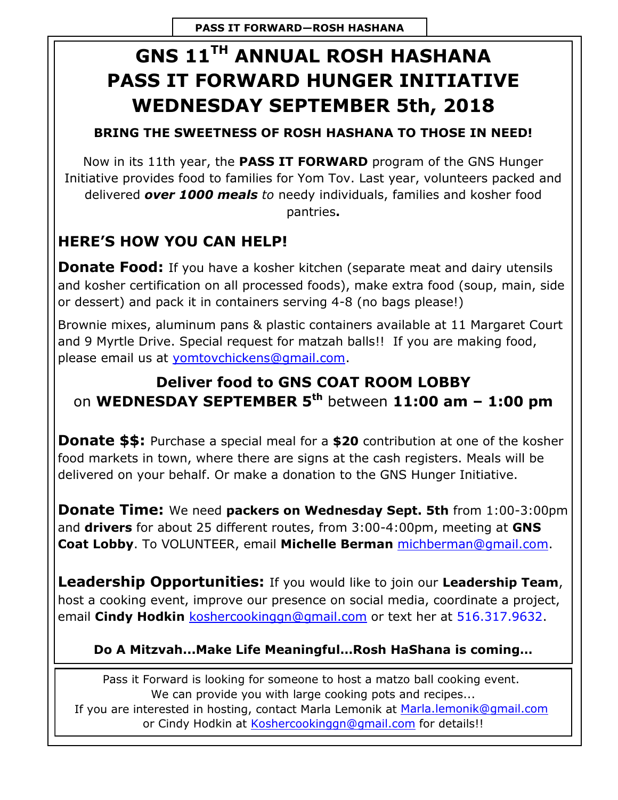## **GNS 11TH ANNUAL ROSH HASHANA PASS IT FORWARD HUNGER INITIATIVE WEDNESDAY SEPTEMBER 5th, 2018**

#### **BRING THE SWEETNESS OF ROSH HASHANA TO THOSE IN NEED!**

Now in its 11th year, the **PASS IT FORWARD** program of the GNS Hunger Initiative provides food to families for Yom Tov. Last year, volunteers packed and delivered *over 1000 meals to* needy individuals, families and kosher food pantries**.** 

## **HERE'S HOW YOU CAN HELP!**

**Donate Food:** If you have a kosher kitchen (separate meat and dairy utensils and kosher certification on all processed foods), make extra food (soup, main, side or dessert) and pack it in containers serving 4-8 (no bags please!)

Brownie mixes, aluminum pans & plastic containers available at 11 Margaret Court and 9 Myrtle Drive. Special request for matzah balls!! If you are making food, please email us at [yomtovchickens@gmail.com.](mailto:yomtovchickens@gmail.com) 

### **Deliver food to GNS COAT ROOM LOBBY** on **WEDNESDAY SEPTEMBER 5th** between **11:00 am – 1:00 pm**

**Donate \$\$:** Purchase a special meal for a **\$20** contribution at one of the kosher food markets in town, where there are signs at the cash registers. Meals will be delivered on your behalf. Or make a donation to the GNS Hunger Initiative.

**Donate Time:** We need **packers on Wednesday Sept. 5th** from 1:00-3:00pm and **drivers** for about 25 different routes, from 3:00-4:00pm, meeting at **GNS Coat Lobby**. To VOLUNTEER, email **Michelle Berman** [michberman@gmail.com.](mailto:michberman@gmail.com) 

**Leadership Opportunities:** If you would like to join our **Leadership Team**, host a cooking event, improve our presence on social media, coordinate a project, email **Cindy Hodkin** [koshercookinggn@gmail.com](mailto:koshercookinggn@gmail.com) or text her at 516.317.9632.

#### **Do A Mitzvah...Make Life Meaningful…Rosh HaShana is coming…**

Pass it Forward is looking for someone to host a matzo ball cooking event. We can provide you with large cooking pots and recipes... If you are interested in hosting, contact Marla Lemonik at Marla.lemonik@gmail.com or Cindy Hodkin at [Koshercookinggn@gmail.com f](mailto:Koshercookinggn@gmail.com)or details!!